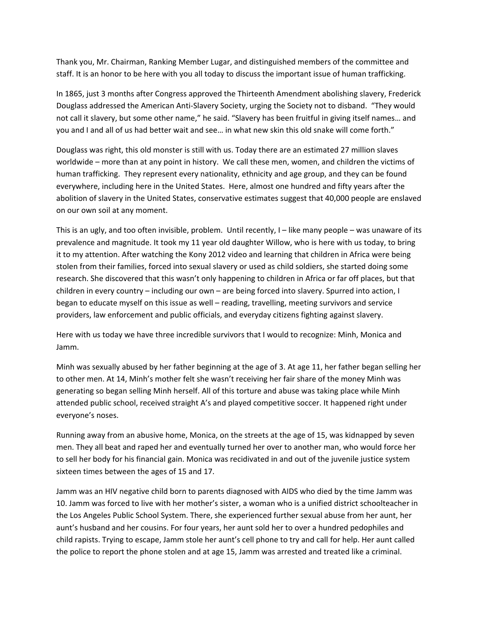Thank you, Mr. Chairman, Ranking Member Lugar, and distinguished members of the committee and staff. It is an honor to be here with you all today to discuss the important issue of human trafficking.

In 1865, just 3 months after Congress approved the Thirteenth Amendment abolishing slavery, Frederick Douglass addressed the American Anti‐Slavery Society, urging the Society not to disband. "They would not call it slavery, but some other name," he said. "Slavery has been fruitful in giving itself names… and you and I and all of us had better wait and see… in what new skin this old snake will come forth."

Douglass was right, this old monster is still with us. Today there are an estimated 27 million slaves worldwide – more than at any point in history. We call these men, women, and children the victims of human trafficking. They represent every nationality, ethnicity and age group, and they can be found everywhere, including here in the United States. Here, almost one hundred and fifty years after the abolition of slavery in the United States, conservative estimates suggest that 40,000 people are enslaved on our own soil at any moment.

This is an ugly, and too often invisible, problem. Until recently, I – like many people – was unaware of its prevalence and magnitude. It took my 11 year old daughter Willow, who is here with us today, to bring it to my attention. After watching the Kony 2012 video and learning that children in Africa were being stolen from their families, forced into sexual slavery or used as child soldiers, she started doing some research. She discovered that this wasn't only happening to children in Africa or far off places, but that children in every country – including our own – are being forced into slavery. Spurred into action, I began to educate myself on this issue as well – reading, travelling, meeting survivors and service providers, law enforcement and public officials, and everyday citizens fighting against slavery.

Here with us today we have three incredible survivors that I would to recognize: Minh, Monica and Jamm.

Minh was sexually abused by her father beginning at the age of 3. At age 11, her father began selling her to other men. At 14, Minh's mother felt she wasn't receiving her fair share of the money Minh was generating so began selling Minh herself. All of this torture and abuse was taking place while Minh attended public school, received straight A's and played competitive soccer. It happened right under everyone's noses.

Running away from an abusive home, Monica, on the streets at the age of 15, was kidnapped by seven men. They all beat and raped her and eventually turned her over to another man, who would force her to sell her body for his financial gain. Monica was recidivated in and out of the juvenile justice system sixteen times between the ages of 15 and 17.

Jamm was an HIV negative child born to parents diagnosed with AIDS who died by the time Jamm was 10. Jamm was forced to live with her mother's sister, a woman who is a unified district schoolteacher in the Los Angeles Public School System. There, she experienced further sexual abuse from her aunt, her aunt's husband and her cousins. For four years, her aunt sold her to over a hundred pedophiles and child rapists. Trying to escape, Jamm stole her aunt's cell phone to try and call for help. Her aunt called the police to report the phone stolen and at age 15, Jamm was arrested and treated like a criminal.